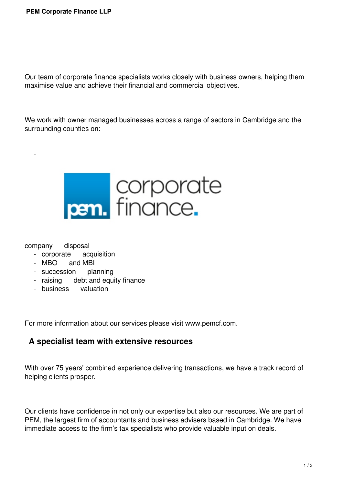Our team of corporate finance specialists works closely with business owners, helping them maximise value and achieve their financial and commercial objectives.

We work with owner managed businesses across a range of sectors in Cambridge and the surrounding counties on:



company disposal

 $\sim$   $-$ 

- corporate acquisition
- MBO and MBI
- succession planning
- raising debt and equity finance
- business valuation

For more information about our services please visit www.pemcf.com.

## **A specialist team with extensive resources**

With over 75 years' combined experience delivering transactions, we have a track record of helping clients prosper.

Our clients have confidence in not only our expertise but also our resources. We are part of PEM, the largest firm of accountants and business advisers based in Cambridge. We have immediate access to the firm's tax specialists who provide valuable input on deals.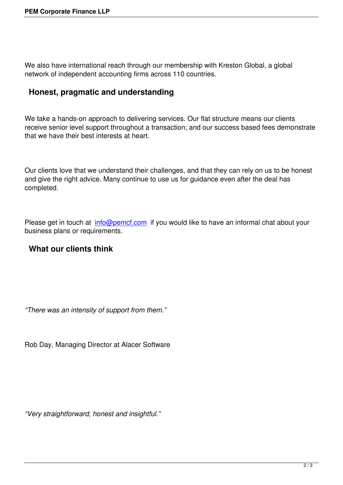We also have international reach through our membership with Kreston Global, a global network of independent accounting firms across 110 countries.

## **Honest, pragmatic and understanding**

We take a hands-on approach to delivering services. Our flat structure means our clients receive senior level support throughout a transaction; and our success based fees demonstrate that we have their best interests at heart.

Our clients love that we understand their challenges, and that they can rely on us to be honest and give the right advice. Many continue to use us for guidance even after the deal has completed.

Please get in touch at info@pemcf.com if you would like to have an informal chat about your business plans or requirements.

## **What our clients [think](mailto:info@pemcf.com)**

*"There was an intensity of support from them."* 

Rob Day, Managing Director at Alacer Software

*"Very straightforward, honest and insightful."*